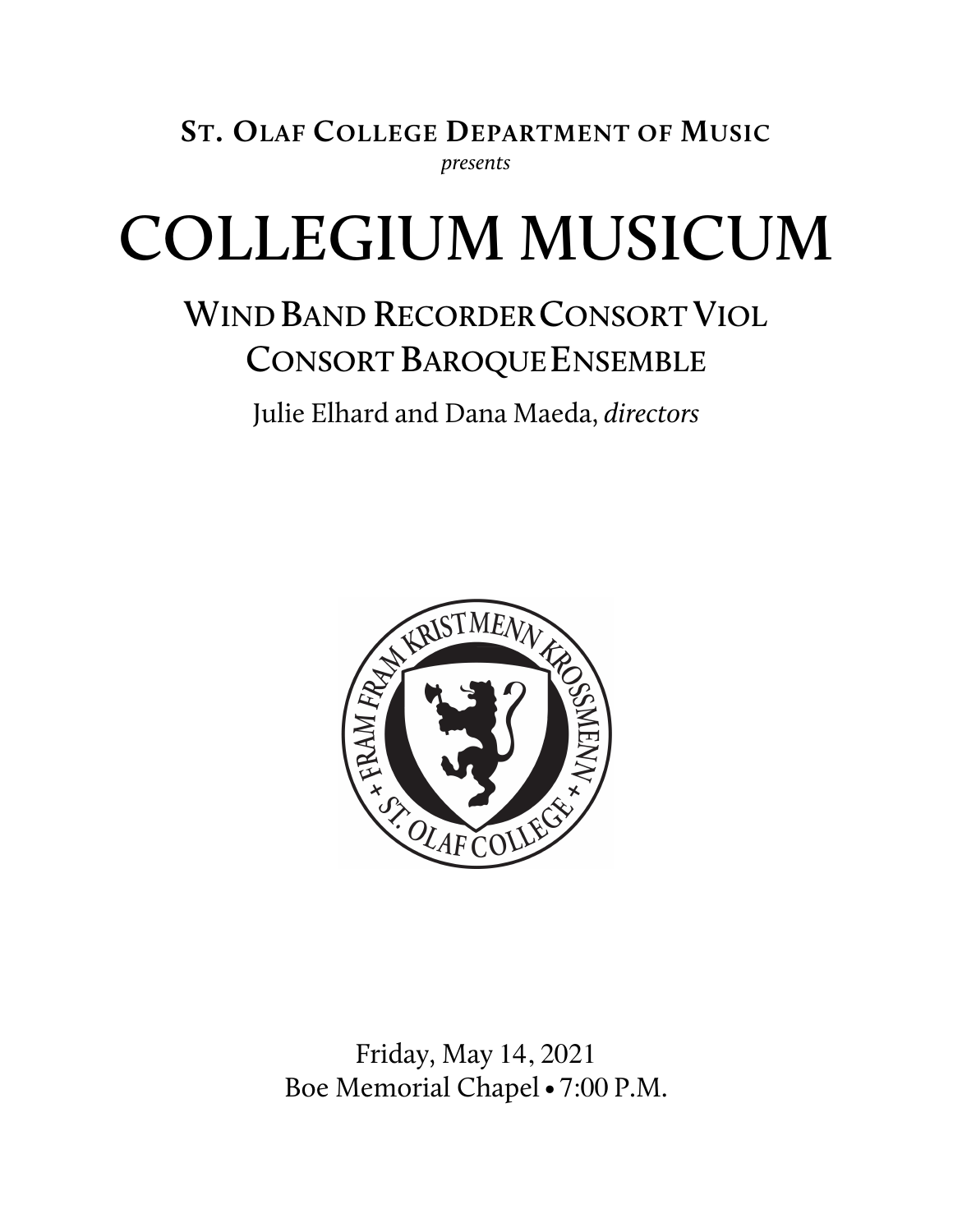**ST. OLAF COLLEGE DEPARTMENT OF MUSIC** *presents*

# **COLLEGIUM MUSICUM**

# **WIND BAND RECORDERCONSORT VIOL CONSORT BAROQUE ENSEMBLE**

Julie Elhard and Dana Maeda, *directors*



Friday, May 14, 2021 Boe Memorial Chapel• 7:00 P.M.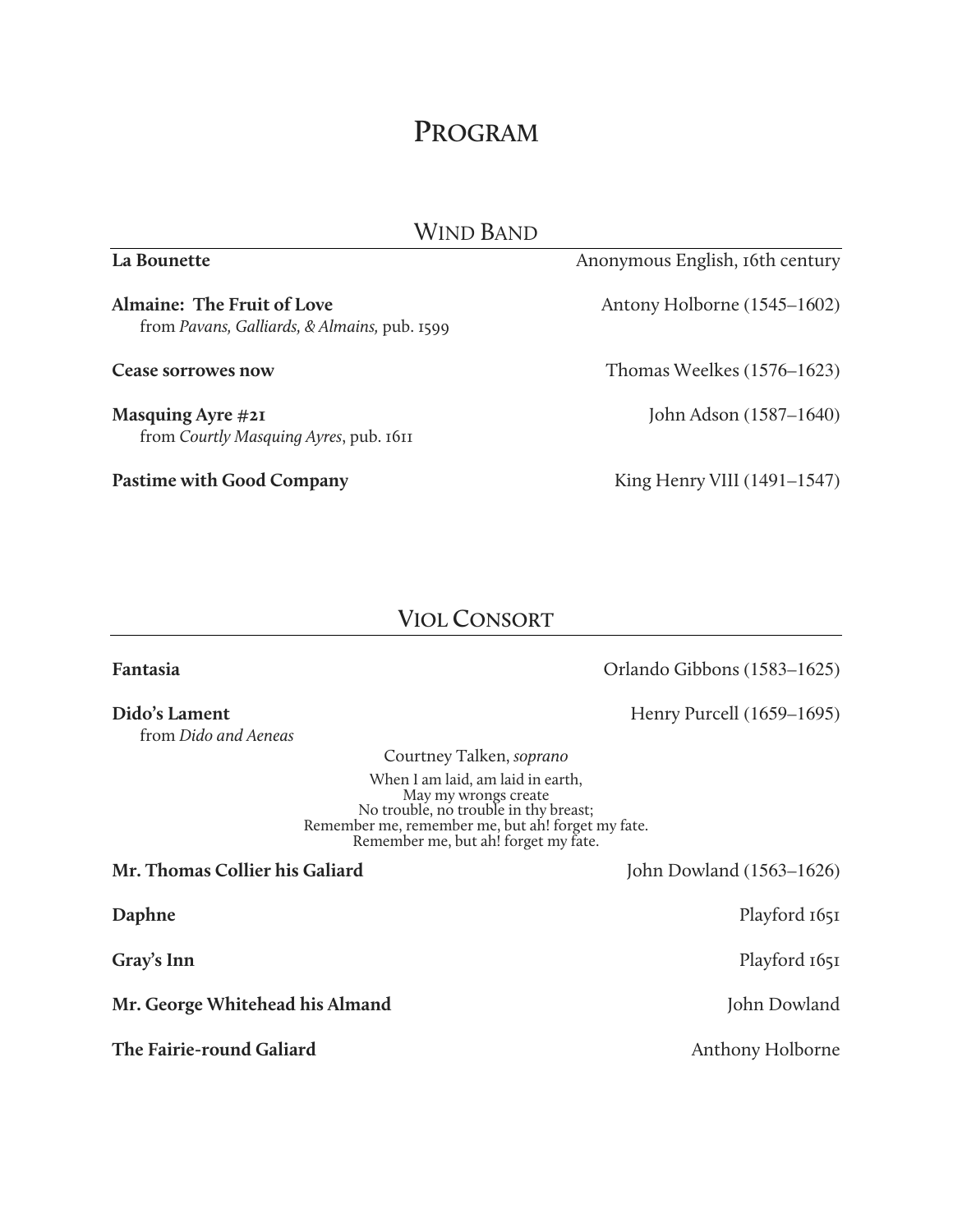## **PROGRAM**

| Wind Band                                                                  |                                 |  |
|----------------------------------------------------------------------------|---------------------------------|--|
| La Bounette                                                                | Anonymous English, 16th century |  |
| Almaine: The Fruit of Love<br>from Pavans, Galliards, & Almains, pub. 1599 | Antony Holborne (1545–1602)     |  |
| <b>Cease sorrowes now</b>                                                  | Thomas Weelkes $(1576-1623)$    |  |
| Masquing Ayre #21<br>from Courtly Masquing Ayres, pub. 1611                | John Adson (1587–1640)          |  |
| <b>Pastime with Good Company</b>                                           | King Henry VIII (1491-1547)     |  |

### **VIOL CONSORT**

| Fantasia                                                                                                                                                                                        | Orlando Gibbons (1583–1625) |
|-------------------------------------------------------------------------------------------------------------------------------------------------------------------------------------------------|-----------------------------|
| Dido's Lament<br>from Dido and Aeneas                                                                                                                                                           | Henry Purcell $(1659-1695)$ |
| Courtney Talken, soprano                                                                                                                                                                        |                             |
| When I am laid, am laid in earth,<br>May my wrongs create<br>No trouble, no trouble in thy breast;<br>Remember me, remember me, but ah! forget my fate.<br>Remember me, but ah! forget my fate. |                             |
| Mr. Thomas Collier his Galiard                                                                                                                                                                  | John Dowland $(1563-1626)$  |
| Daphne                                                                                                                                                                                          | Playford 1651               |
| Gray's Inn                                                                                                                                                                                      | Playford 1651               |
| Mr. George Whitehead his Almand                                                                                                                                                                 | John Dowland                |
| The Fairie-round Galiard                                                                                                                                                                        | Anthony Holborne            |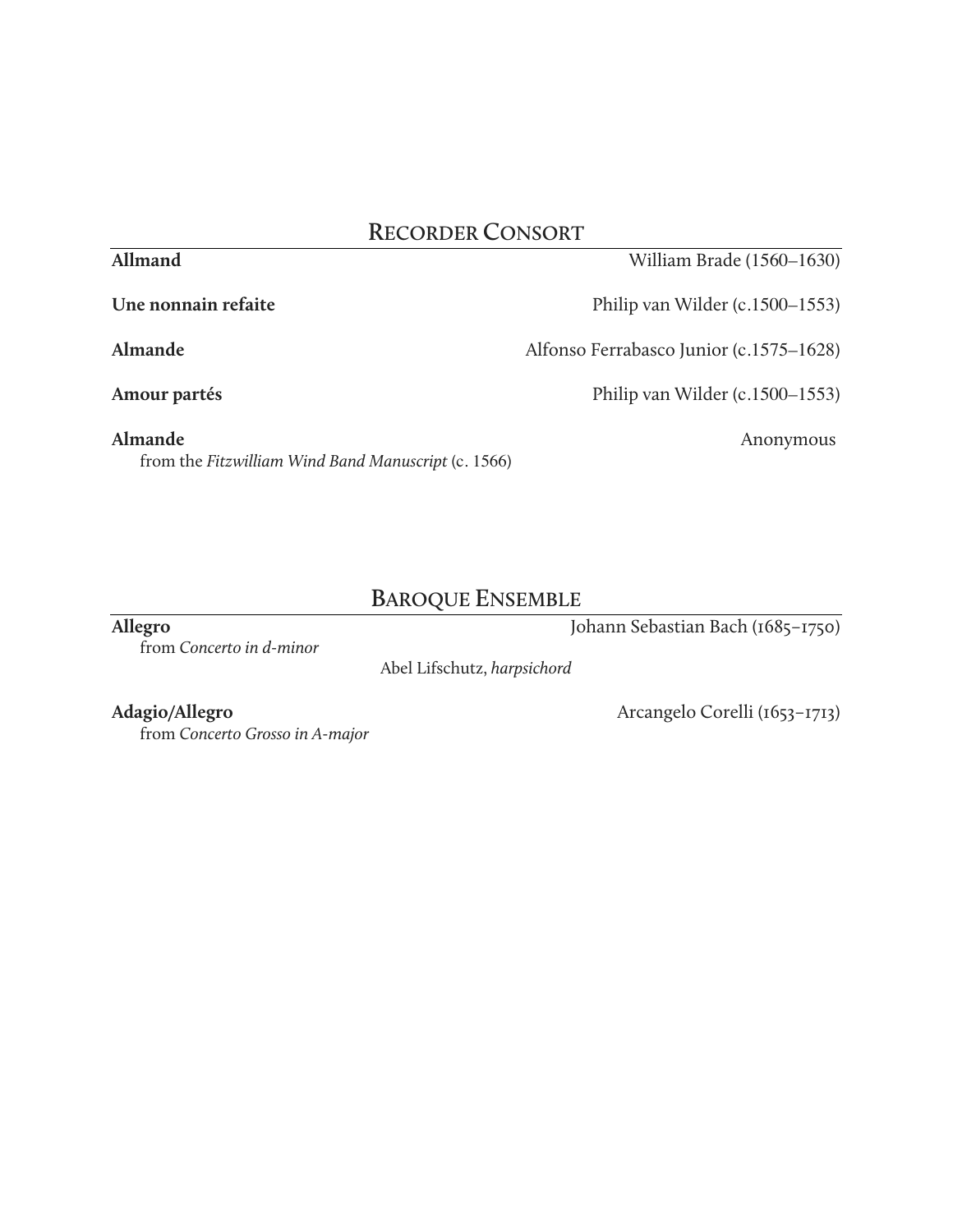### **RECORDER CONSORT**

| Une nonnain refaite                                            | Philip van Wilder (c.1500–1553)         |
|----------------------------------------------------------------|-----------------------------------------|
| Almande                                                        | Alfonso Ferrabasco Junior (c.1575–1628) |
| Amour partés                                                   | Philip van Wilder (c.1500–1553)         |
| Almande<br>from the Fitzwilliam Wind Band Manuscript (c. 1566) | Anonymous                               |

### **BAROQUE ENSEMBLE**

**Allegro** Johann Sebastian Bach (1685–1750)

from *Concerto in d-minor*

Abel Lifschutz, *harpsichord*

from *Concerto Grosso in A-major*

**Allmand** William Brade (1560–1630)

Adagio/Allegro **Arcangelo Corelli (1653–1713)**